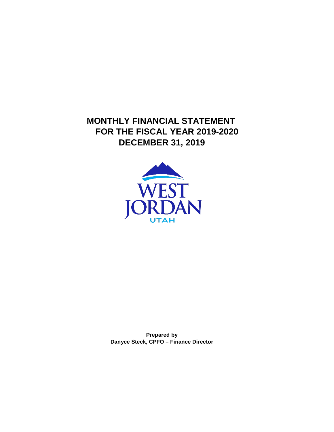**MONTHLY FINANCIAL STATEMENT FOR THE FISCAL YEAR 2019-2020 DECEMBER 31, 2019**



**Prepared by Danyce Steck, CPFO – Finance Director**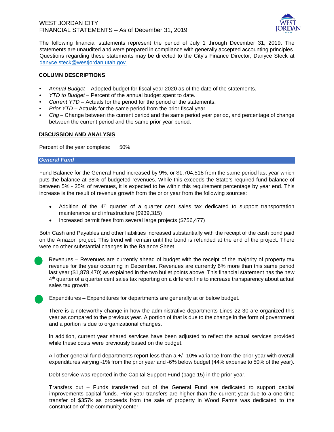

The following financial statements represent the period of July 1 through December 31, 2019. The statements are unaudited and were prepared in compliance with generally accepted accounting principles. Questions regarding these statements may be directed to the City's Finance Director, Danyce Steck at danyce.steck@westjordan.utah.gov.

#### **COLUMN DESCRIPTIONS**

- *Annual Budget* Adopted budget for fiscal year 2020 as of the date of the statements.
- *YTD to Budget* Percent of the annual budget spent to date.
- *Current YTD* Actuals for the period for the period of the statements.
- *Prior YTD* Actuals for the same period from the prior fiscal year.
- *Chg*  Change between the current period and the same period year period, and percentage of change between the current period and the same prior year period.

#### **DISCUSSION AND ANALYSIS**

Percent of the year complete: 50%

#### *General Fund*

Fund Balance for the General Fund increased by 9%, or \$1,704,518 from the same period last year which puts the balance at 38% of budgeted revenues. While this exceeds the State's required fund balance of between 5% - 25% of revenues, it is expected to be within this requirement percentage by year end. This increase is the result of revenue growth from the prior year from the following sources:

- Addition of the 4<sup>th</sup> quarter of a quarter cent sales tax dedicated to support transportation maintenance and infrastructure (\$939,315)
- Increased permit fees from several large projects (\$756,477)

Both Cash and Payables and other liabilities increased substantially with the receipt of the cash bond paid on the Amazon project. This trend will remain until the bond is refunded at the end of the project. There were no other substantial changes in the Balance Sheet.



Revenues – Revenues are currently ahead of budget with the receipt of the majority of property tax revenue for the year occurring in December. Revenues are currently 6% more than this same period last year (\$1,878,470) as explained in the two bullet points above. This financial statement has the new 4<sup>th</sup> quarter of a quarter cent sales tax reporting on a different line to increase transparency about actual sales tax growth.

Expenditures – Expenditures for departments are generally at or below budget.

There is a noteworthy change in how the administrative departments Lines 22-30 are organized this year as compared to the previous year. A portion of that is due to the change in the form of government and a portion is due to organizational changes.

In addition, current year shared services have been adjusted to reflect the actual services provided while these costs were previously based on the budget.

All other general fund departments report less than a +/- 10% variance from the prior year with overall expenditures varying -1% from the prior year and -6% below budget (44% expense to 50% of the year).

Debt service was reported in the Capital Support Fund (page 15) in the prior year.

Transfers out – Funds transferred out of the General Fund are dedicated to support capital improvements capital funds. Prior year transfers are higher than the current year due to a one-time transfer of \$357k as proceeds from the sale of property in Wood Farms was dedicated to the construction of the community center.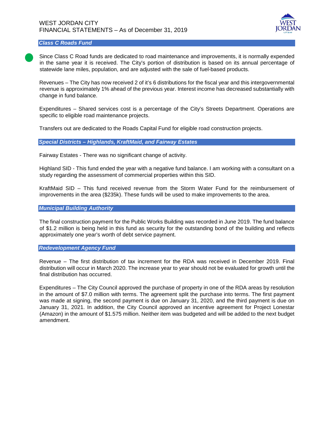

#### *Class C Roads Fund*

Since Class C Road funds are dedicated to road maintenance and improvements, it is normally expended in the same year it is received. The City's portion of distribution is based on its annual percentage of statewide lane miles, population, and are adjusted with the sale of fuel-based products.

Revenues – The City has now received 2 of it's 6 distributions for the fiscal year and this intergovernmental revenue is approximately 1% ahead of the previous year. Interest income has decreased substantially with change in fund balance.

Expenditures – Shared services cost is a percentage of the City's Streets Department. Operations are specific to eligible road maintenance projects.

Transfers out are dedicated to the Roads Capital Fund for eligible road construction projects.

*Special Districts – Highlands, KraftMaid, and Fairway Estates*

Fairway Estates - There was no significant change of activity.

Highland SID - This fund ended the year with a negative fund balance. I am working with a consultant on a study regarding the assessment of commercial properties within this SID.

KraftMaid SID – This fund received revenue from the Storm Water Fund for the reimbursement of improvements in the area (\$235k). These funds will be used to make improvements to the area.

#### *Municipal Building Authority*

The final construction payment for the Public Works Building was recorded in June 2019. The fund balance of \$1.2 million is being held in this fund as security for the outstanding bond of the building and reflects approximately one year's worth of debt service payment.

#### *Redevelopment Agency Fund*

Revenue – The first distribution of tax increment for the RDA was received in December 2019. Final distribution will occur in March 2020. The increase year to year should not be evaluated for growth until the final distribution has occurred.

Expenditures – The City Council approved the purchase of property in one of the RDA areas by resolution in the amount of \$7.0 million with terms. The agreement split the purchase into terms. The first payment was made at signing, the second payment is due on January 31, 2020, and the third payment is due on January 31, 2021. In addition, the City Council approved an incentive agreement for Project Lonestar (Amazon) in the amount of \$1.575 million. Neither item was budgeted and will be added to the next budget amendment.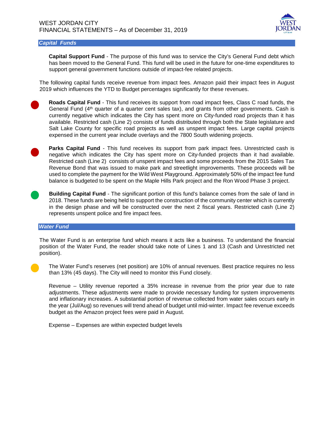

#### *Capital Funds*

**Capital Support Fund** - The purpose of this fund was to service the City's General Fund debt which has been moved to the General Fund. This fund will be used in the future for one-time expenditures to support general government functions outside of impact-fee related projects.

The following capital funds receive revenue from impact fees. Amazon paid their impact fees in August 2019 which influences the YTD to Budget percentages significantly for these revenues.

**Roads Capital Fund** - This fund receives its support from road impact fees, Class C road funds, the General Fund  $(4<sup>th</sup>$  quarter of a quarter cent sales tax), and grants from other governments. Cash is currently negative which indicates the City has spent more on City-funded road projects than it has available. Restricted cash (Line 2) consists of funds distributed through both the State legislature and Salt Lake County for specific road projects as well as unspent impact fees. Large capital projects expensed in the current year include overlays and the 7800 South widening projects.

**Parks Capital Fund** - This fund receives its support from park impact fees. Unrestricted cash is negative which indicates the City has spent more on City-funded projects than it had available. Restricted cash (Line 2) consists of unspent impact fees and some proceeds from the 2015 Sales Tax Revenue Bond that was issued to make park and streetlight improvements. These proceeds will be used to complete the payment for the Wild West Playground. Approximately 50% of the impact fee fund balance is budgeted to be spent on the Maple Hills Park project and the Ron Wood Phase 3 project.

**Building Capital Fund** - The significant portion of this fund's balance comes from the sale of land in 2018. These funds are being held to support the construction of the community center which is currently in the design phase and will be constructed over the next 2 fiscal years. Restricted cash (Line 2) represents unspent police and fire impact fees.

#### *Water Fund*

The Water Fund is an enterprise fund which means it acts like a business. To understand the financial position of the Water Fund, the reader should take note of Lines 1 and 13 (Cash and Unrestricted net position).

The Water Fund's reserves (net position) are 10% of annual revenues. Best practice requires no less than 13% (45 days). The City will need to monitor this Fund closely.

Revenue – Utility revenue reported a 35% increase in revenue from the prior year due to rate adjustments. These adjustments were made to provide necessary funding for system improvements and inflationary increases. A substantial portion of revenue collected from water sales occurs early in the year (Jul/Aug) so revenues will trend ahead of budget until mid-winter. Impact fee revenue exceeds budget as the Amazon project fees were paid in August.

Expense – Expenses are within expected budget levels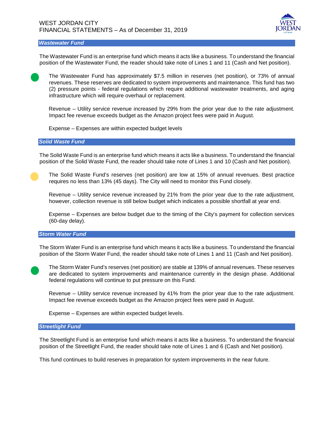

*Wastewater Fund*

The Wastewater Fund is an enterprise fund which means it acts like a business. To understand the financial position of the Wastewater Fund, the reader should take note of Lines 1 and 11 (Cash and Net position).



The Wastewater Fund has approximately \$7.5 million in reserves (net position), or 73% of annual revenues. These reserves are dedicated to system improvements and maintenance. This fund has two (2) pressure points - federal regulations which require additional wastewater treatments, and aging infrastructure which will require overhaul or replacement.

Revenue – Utility service revenue increased by 29% from the prior year due to the rate adjustment. Impact fee revenue exceeds budget as the Amazon project fees were paid in August.

Expense – Expenses are within expected budget levels

#### *Solid Waste Fund*

The Solid Waste Fund is an enterprise fund which means it acts like a business. To understand the financial position of the Solid Waste Fund, the reader should take note of Lines 1 and 10 (Cash and Net position).

The Solid Waste Fund's reserves (net position) are low at 15% of annual revenues. Best practice requires no less than 13% (45 days). The City will need to monitor this Fund closely.

Revenue – Utility service revenue increased by 21% from the prior year due to the rate adjustment, however, collection revenue is still below budget which indicates a possible shortfall at year end.

Expense – Expenses are below budget due to the timing of the City's payment for collection services (60-day delay).

#### *Storm Water Fund*

The Storm Water Fund is an enterprise fund which means it acts like a business. To understand the financial position of the Storm Water Fund, the reader should take note of Lines 1 and 11 (Cash and Net position).

The Storm Water Fund's reserves (net position) are stable at 139% of annual revenues. These reserves are dedicated to system improvements and maintenance currently in the design phase. Additional federal regulations will continue to put pressure on this Fund.

Revenue – Utility service revenue increased by 41% from the prior year due to the rate adjustment. Impact fee revenue exceeds budget as the Amazon project fees were paid in August.

Expense – Expenses are within expected budget levels.

#### *Streetlight Fund*

The Streetlight Fund is an enterprise fund which means it acts like a business. To understand the financial position of the Streetlight Fund, the reader should take note of Lines 1 and 6 (Cash and Net position).

This fund continues to build reserves in preparation for system improvements in the near future.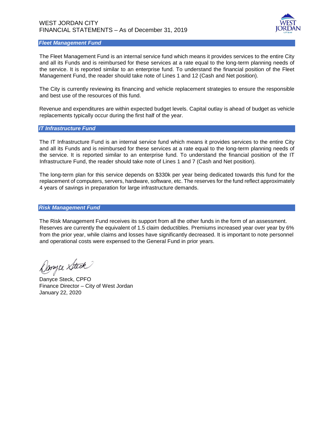

#### *Fleet Management Fund*

The Fleet Management Fund is an internal service fund which means it provides services to the entire City and all its Funds and is reimbursed for these services at a rate equal to the long-term planning needs of the service. It is reported similar to an enterprise fund. To understand the financial position of the Fleet Management Fund, the reader should take note of Lines 1 and 12 (Cash and Net position).

The City is currently reviewing its financing and vehicle replacement strategies to ensure the responsible and best use of the resources of this fund.

Revenue and expenditures are within expected budget levels. Capital outlay is ahead of budget as vehicle replacements typically occur during the first half of the year.

#### *IT Infrastructure Fund*

The IT Infrastructure Fund is an internal service fund which means it provides services to the entire City and all its Funds and is reimbursed for these services at a rate equal to the long-term planning needs of the service. It is reported similar to an enterprise fund. To understand the financial position of the IT Infrastructure Fund, the reader should take note of Lines 1 and 7 (Cash and Net position).

The long-term plan for this service depends on \$330k per year being dedicated towards this fund for the replacement of computers, servers, hardware, software, etc. The reserves for the fund reflect approximately 4 years of savings in preparation for large infrastructure demands.

#### *Risk Management Fund*

The Risk Management Fund receives its support from all the other funds in the form of an assessment. Reserves are currently the equivalent of 1.5 claim deductibles. Premiums increased year over year by 6% from the prior year, while claims and losses have significantly decreased. It is important to note personnel and operational costs were expensed to the General Fund in prior years.

Danyce Steck

Danyce Steck, CPFO Finance Director – City of West Jordan January 22, 2020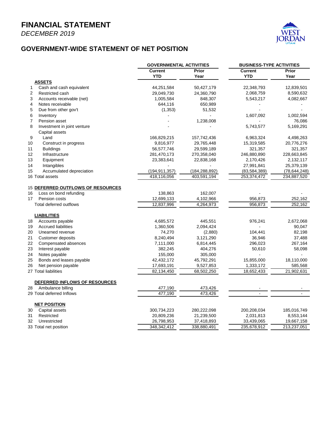*DECEMBER 2019*



#### **GOVERNMENT-WIDE STATEMENT OF NET POSITION**

|                                   | <b>GOVERNMENTAL ACTIVITIES</b> |                 | <b>BUSINESS-TYPE ACTIVITIES</b> |                |  |
|-----------------------------------|--------------------------------|-----------------|---------------------------------|----------------|--|
|                                   | <b>Current</b>                 | Prior           | <b>Current</b>                  | Prior          |  |
|                                   | <b>YTD</b>                     | Year            | <b>YTD</b>                      | Year           |  |
| <b>ASSETS</b>                     |                                |                 |                                 |                |  |
| Cash and cash equivalent<br>1     | 44,251,584                     | 50,427,179      | 22,348,793                      | 12,839,501     |  |
| 2<br>Restricted cash              | 29,049,730                     | 24,360,790      | 2,068,759                       | 8,590,632      |  |
| 3<br>Accounts receivable (net)    | 1,005,584                      | 848,307         | 5,543,217                       | 4,082,667      |  |
| 4<br>Notes receivable             | 644,116                        | 650,989         |                                 |                |  |
| 5<br>Due from other gov't         | (1, 353)                       | 51,532          |                                 |                |  |
| 6<br>Inventory                    |                                |                 | 1,607,092                       | 1,002,594      |  |
| 7<br>Pension asset                |                                | 1,238,008       |                                 | 76,086         |  |
| 8<br>Investment in joint venture  |                                |                 | 5,743,577                       | 5,169,291      |  |
| Capital assets                    |                                |                 |                                 |                |  |
| 9<br>Land                         | 166,829,215                    | 157,742,436     | 6,963,324                       | 4,498,263      |  |
| 10<br>Construct in progress       | 9,816,977                      | 29,765,448      | 15,319,585                      | 20,776,276     |  |
| <b>Buildings</b><br>11            | 56,577,746                     | 29,599,189      | 321,357                         | 321,357        |  |
| 12<br>Infrastructure              | 281,470,173                    | 270,358,040     | 246,880,890                     | 228,663,845    |  |
| 13<br>Equipment                   | 23,383,641                     | 22,838,168      | 2,170,426                       | 2,132,117      |  |
| 14<br>Intangibles                 |                                |                 | 27,991,841                      | 25,379,139     |  |
| Accumulated depreciation<br>15    | (194, 911, 357)                | (184, 288, 892) | (83, 584, 389)                  | (78, 644, 248) |  |
| 16 Total assets                   | 418,116,056                    | 403,591,194     | 253,374,472                     | 234,887,520    |  |
| 15 DEFERRED OUTFLOWS OF RESOURCES |                                |                 |                                 |                |  |
| 16<br>Loss on bond refunding      | 138,863                        | 162,007         |                                 |                |  |
| 17<br>Pension costs               | 12,699,133                     | 4,102,966       | 956,873                         | 252,162        |  |
| Total deferred outflows           | 12,837,996                     | 4,264,973       | 956,873                         | 252,162        |  |
| <b>LIABILITIES</b>                |                                |                 |                                 |                |  |
| Accounts payable<br>18            | 4,685,572                      | 445,551         | 976,241                         | 2,672,068      |  |
| <b>Accrued liabilities</b><br>19  | 1,360,506                      | 2,094,424       |                                 | 90,047         |  |
| 20<br>Unearned revenue            | 74,270                         | (2,880)         | 104,441                         | 82,198         |  |
| 21<br><b>Customer deposits</b>    | 8,240,494                      | 3,121,290       | 36,946                          | 37,488         |  |
| 22<br>Compensated absences        | 7,111,000                      | 6,814,445       | 296,023                         | 267,164        |  |
| Interest payable<br>23            | 382,245                        | 404,276         | 50,610                          | 58,098         |  |
| 24<br>Notes payable               | 155,000                        | 305,000         |                                 |                |  |
| Bonds and leases payable<br>25    | 42,432,172                     | 45,792,291      | 15,855,000                      | 18,110,000     |  |
| 26<br>Net pension payable         | 17,693,191                     | 9,527,853       | 1,333,172                       | 585,568        |  |
| 27 Total liabilities              | 82,134,450                     | 68,502,250      | 18,652,433                      | 21,902,631     |  |
| DEFERRED INFLOWS OF RESOURCES     |                                |                 |                                 |                |  |
| 28<br>Ambulance billing           | 477,190                        | 473,426         |                                 |                |  |
| 29 Total deferred Inflows         | 477,190                        | 473,426         |                                 |                |  |
| <b>NET POSITION</b>               |                                |                 |                                 |                |  |
| Capital assets<br>30              | 300,734,223                    | 280,222,098     | 200,208,034                     | 185,016,749    |  |
| 31<br>Restricted                  | 20,809,236                     | 21,239,500      | 2,031,813                       | 8,553,144      |  |
| 32<br>Unrestricted                | 26,798,953                     | 37,418,893      | 33,439,065                      | 19,667,158     |  |
| 33 Total net position             | 348,342,412                    | 338,880,491     | 235,678,912                     | 213,237,051    |  |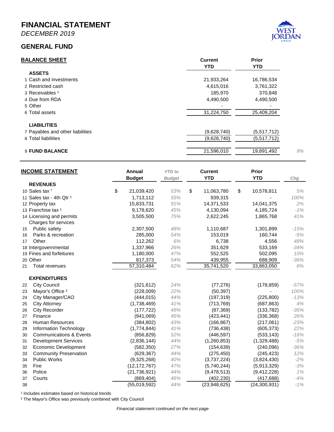*DECEMBER 2019*

#### **GENERAL FUND**



| <b>BALANCE SHEET</b>             | <b>Current</b><br><b>YTD</b> | <b>Prior</b><br><b>YTD</b> |  |
|----------------------------------|------------------------------|----------------------------|--|
| <b>ASSETS</b>                    |                              |                            |  |
| 1 Cash and investments           | 21,933,264                   | 16,786,534                 |  |
| 2 Restricted cash                | 4,615,016                    | 3,761,322                  |  |
| 3 Receivables <sup>1</sup>       | 185,970                      | 370,848                    |  |
| 4 Due from RDA                   | 4,490,500                    | 4,490,500                  |  |
| 5 Other                          |                              |                            |  |
| 6 Total assets                   | 31,224,750                   | 25,409,204                 |  |
| <b>LIABILITIES</b>               |                              |                            |  |
| 7 Payables and other liabilities | (9,628,740)                  | (5,517,712)                |  |
| 8 Total liabilities              | (9,628,740)                  | (5,517,712)                |  |
| <b>9 FUND BALANCE</b>            | 21,596,010                   | 19,891,492                 |  |

| <b>INCOME STATEMENT</b>                  | Annual<br><b>Budget</b> | <b>YTD</b> to<br><b>Budget</b> | <b>Current</b><br><b>YTD</b> | <b>Prior</b><br><b>YTD</b> | Chg    |
|------------------------------------------|-------------------------|--------------------------------|------------------------------|----------------------------|--------|
| <b>REVENUES</b>                          |                         |                                |                              |                            |        |
| 10 Sales tax <sup>1</sup>                | \$<br>21,039,420        | 53%                            | \$<br>11,063,780             | \$<br>10,578,811           | 5%     |
| 11 Sales tax - 4th Qtr 1                 | 1,713,112               | 55%                            | 939,315                      |                            | 100%   |
| 12 Property tax                          | 15,833,731              | 91%                            | 14,371,533                   | 14,041,375                 | 2%     |
| 13 Franchise tax <sup>1</sup>            | 9,178,620               | 45%                            | 4,130,094                    | 4,185,724                  | $-1%$  |
| 14 Licensing and permits                 | 3,505,500               | 75%                            | 2,622,245                    | 1,865,768                  | 41%    |
| Charges for services                     |                         |                                |                              |                            |        |
| Public safety<br>15                      | 2,307,500               | 48%                            | 1,110,687                    | 1,301,899                  | $-15%$ |
| Parks & recreation<br>16                 | 285,000                 | 54%                            | 153,019                      | 160,744                    | $-5%$  |
| Other<br>17                              | 112,262                 | 6%                             | 6,738                        | 4,556                      | 48%    |
| 18 Intergovernmental                     | 1,337,966               | 26%                            | 351,629                      | 533,169                    | $-34%$ |
| 19 Fines and forfeitures                 | 1,180,000               | 47%                            | 552,525                      | 502,095                    | 10%    |
| 20 Other                                 | 817,373                 | 54%                            | 439,955                      | 688,909                    | $-36%$ |
| <b>Total revenues</b><br>21              | 57,310,484              | 62%                            | 35,741,520                   | 33,863,050                 | 6%     |
| <b>EXPENDITURES</b>                      |                         |                                |                              |                            |        |
| <b>City Council</b><br>22                | (321, 612)              | 24%                            | (77, 276)                    | (178, 859)                 | $-57%$ |
| Mayor's Office <sup>2</sup><br>23        | (228,009)               | 22%                            | (50, 397)                    |                            | 100%   |
| City Manager/CAO<br>24                   | (444, 015)              | 44%                            | (197, 319)                   | (225, 800)                 | $-13%$ |
| <b>City Attorney</b><br>25               | (1,738,469)             | 41%                            | (713, 769)                   | (687, 863)                 | 4%     |
| City Recorder<br>26                      | (177, 722)              | 49%                            | (87, 369)                    | (133, 782)                 | $-35%$ |
| Finance<br>27                            | (941,069)               | 45%                            | (423, 441)                   | (336, 368)                 | 26%    |
| Human Resources<br>28                    | (384, 802)              | 43%                            | (166, 867)                   | (217,061)                  | $-23%$ |
| <b>Information Technology</b><br>29      | (1,774,844)             | 41%                            | (736, 438)                   | (605, 373)                 | 22%    |
| <b>Communications &amp; Events</b><br>30 | (856, 829)              | 52%                            | (446, 597)                   | (533, 143)                 | $-16%$ |
| <b>Development Services</b><br>31        | (2,836,144)             | 44%                            | (1,260,853)                  | (1,329,488)                | $-5%$  |
| <b>Economic Development</b><br>32        | (582, 350)              | 27%                            | (154, 639)                   | (240, 096)                 | $-36%$ |
| <b>Community Preservation</b><br>33      | (629, 367)              | 44%                            | (275, 450)                   | (245, 423)                 | 12%    |
| <b>Public Works</b><br>34                | (9,325,268)             | 40%                            | (3,737,224)                  | (3,824,430)                | $-2%$  |
| Fire<br>35                               | (12, 172, 767)          | 47%                            | (5,740,244)                  | (5,913,329)                | $-3%$  |
| Police<br>36                             | (21, 736, 921)          | 44%                            | (9,478,513)                  | (9,412,228)                | 1%     |
| Courts<br>37                             | (869, 404)              | 46%                            | (402, 230)                   | (417, 688)                 | $-4%$  |
| 38                                       | (55,019,592)            | 44%                            | (23,948,625)                 | (24, 300, 931)             | $-1%$  |

<sup>1</sup> Includes estimates based on historical trends

² The Mayor's Office was previously combined with City Council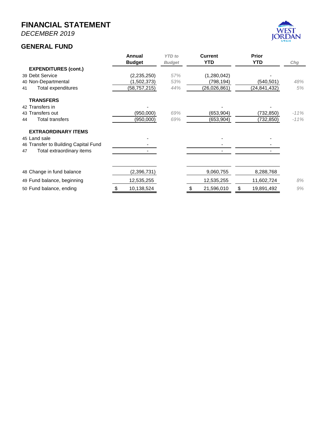*DECEMBER 2019*

#### **GENERAL FUND**



|    |                                      | Annual        | <b>YTD</b> to | <b>Current</b>   | Prior          |         |
|----|--------------------------------------|---------------|---------------|------------------|----------------|---------|
|    |                                      | <b>Budget</b> | <b>Budget</b> | <b>YTD</b>       | <b>YTD</b>     | Chg     |
|    | <b>EXPENDITURES (cont.)</b>          |               |               |                  |                |         |
|    | 39 Debt Service                      | (2, 235, 250) | 57%           | (1,280,042)      |                |         |
|    | 40 Non-Departmental                  | (1,502,373)   | 53%           | (798,194)        | (540,501)      | 48%     |
| 41 | Total expenditures                   | (58,757,215)  | 44%           | (26,026,861)     | (24, 841, 432) | 5%      |
|    | <b>TRANSFERS</b>                     |               |               |                  |                |         |
|    | 42 Transfers in                      |               |               |                  |                |         |
|    | 43 Transfers out                     | (950,000)     | 69%           | (653,904)        | (732,850)      | $-11\%$ |
| 44 | <b>Total transfers</b>               | (950,000)     | 69%           | (653,904)        | (732,850)      | $-11%$  |
|    | <b>EXTRAORDINARY ITEMS</b>           |               |               |                  |                |         |
|    | 45 Land sale                         |               |               |                  |                |         |
|    | 46 Transfer to Building Capital Fund |               |               |                  |                |         |
| 47 | Total extraordinary items            |               |               |                  |                |         |
|    |                                      |               |               |                  |                |         |
|    | 48 Change in fund balance            | (2,396,731)   |               | 9,060,755        | 8,288,768      |         |
|    | 49 Fund balance, beginning           | 12,535,255    |               | 12,535,255       | 11,602,724     | 8%      |
|    | 50 Fund balance, ending              | 10,138,524    |               | \$<br>21,596,010 | 19,891,492     | 9%      |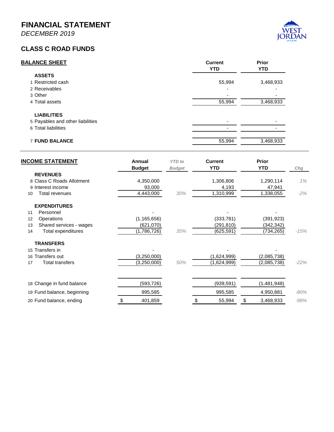*DECEMBER 2019*

#### **CLASS C ROAD FUNDS**

| <b>BALANCE SHEET</b>             | <b>Current</b><br><b>YTD</b> | Prior<br><b>YTD</b> |
|----------------------------------|------------------------------|---------------------|
| <b>ASSETS</b>                    |                              |                     |
| 1 Restricted cash                | 55,994                       | 3,468,933           |
| 2 Receivables                    |                              |                     |
| 3 Other                          |                              |                     |
| 4 Total assets                   | 55,994                       | 3,468,933           |
| <b>LIABILITIES</b>               |                              |                     |
| 5 Payables and other liabilities |                              |                     |
| 6 Total liabilities              |                              |                     |
| <b>7 FUND BALANCE</b>            | 55,994                       | 3,468,933           |

| <b>INCOME STATEMENT</b>       | Annual<br><b>Budget</b> | <b>YTD</b> to<br><b>Budget</b> | <b>Current</b><br><b>YTD</b> | <b>Prior</b><br><b>YTD</b> | Chg    |
|-------------------------------|-------------------------|--------------------------------|------------------------------|----------------------------|--------|
| <b>REVENUES</b>               |                         |                                |                              |                            |        |
| 8 Class C Roads Allotment     | 4,350,000               |                                | 1,306,806                    | 1,290,114                  | 1%     |
| 9 Interest income             | 93,000                  |                                | 4,193                        | 47,941                     |        |
| Total revenues<br>10          | 4,443,000               | 30%                            | 1,310,999                    | 1,338,055                  | $-2\%$ |
| <b>EXPENDITURES</b>           |                         |                                |                              |                            |        |
| Personnel<br>11               |                         |                                |                              |                            |        |
| Operations<br>12              | (1, 165, 656)           |                                | (333, 781)                   | (391, 923)                 |        |
| Shared services - wages<br>13 | (621,070)               |                                | (291,810)                    | (342,342)                  |        |
| Total expenditures<br>14      | (1,786,726)             | 35%                            | (625,591)                    | (734, 265)                 | $-15%$ |
| <b>TRANSFERS</b>              |                         |                                |                              |                            |        |
| 15 Transfers in               |                         |                                |                              |                            |        |
| 16 Transfers out              | (3,250,000)             |                                | (1,624,999)                  | (2,085,738)                |        |
| Total transfers<br>17         | (3,250,000)             | 50%                            | (1,624,999)                  | (2,085,738)                | $-22%$ |
|                               |                         |                                |                              |                            |        |
| 18 Change in fund balance     | (593,726)               |                                | (939, 591)                   | (1,481,948)                |        |
| 19 Fund balance, beginning    | 995,585                 |                                | 995,585                      | 4,950,881                  | $-80%$ |
| 20 Fund balance, ending       | 401,859<br>S            |                                | 55,994<br>\$                 | 3,468,933<br>\$            | $-98%$ |

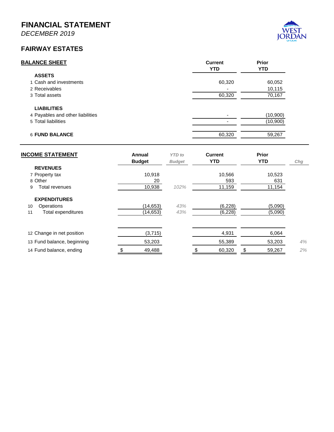*DECEMBER 2019*

#### **FAIRWAY ESTATES**



| <b>INCOME STATEMENT</b>    | Annual<br><b>Budget</b> | <b>YTD</b> to<br><b>Budget</b> | <b>Current</b><br><b>YTD</b> | <b>Prior</b><br><b>YTD</b> | Chg |
|----------------------------|-------------------------|--------------------------------|------------------------------|----------------------------|-----|
| <b>REVENUES</b>            |                         |                                |                              |                            |     |
| 7 Property tax             | 10,918                  |                                | 10,566                       | 10,523                     |     |
| 8 Other                    | 20                      |                                | 593                          | 631                        |     |
| Total revenues<br>9        | 10,938                  | 102%                           | 11,159                       | 11,154                     |     |
| <b>EXPENDITURES</b>        |                         |                                |                              |                            |     |
| Operations<br>10           | (14, 653)               | 43%                            | (6, 228)                     | (5,090)                    |     |
| Total expenditures<br>11   | (14, 653)               | 43%                            | (6, 228)                     | (5,090)                    |     |
|                            |                         |                                |                              |                            |     |
| 12 Change in net position  | (3,715)                 |                                | 4,931                        | 6,064                      |     |
| 13 Fund balance, beginning | 53,203                  |                                | 55,389                       | 53,203                     | 4%  |
| 14 Fund balance, ending    | 49,488                  |                                | 60,320                       | \$<br>59,267               | 2%  |
|                            |                         |                                |                              |                            |     |

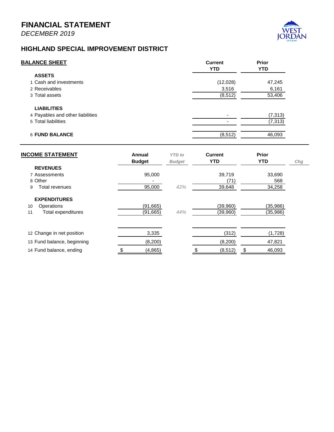

#### **HIGHLAND SPECIAL IMPROVEMENT DISTRICT**

| <b>BALANCE SHEET</b>             | <b>Current</b><br><b>YTD</b> | <b>Prior</b><br><b>YTD</b> |
|----------------------------------|------------------------------|----------------------------|
| <b>ASSETS</b>                    |                              |                            |
| 1 Cash and investments           | (12,028)                     | 47,245                     |
| 2 Receivables                    | 3,516                        | 6,161                      |
| 3 Total assets                   | (8, 512)                     | 53,406                     |
| <b>LIABILITIES</b>               |                              |                            |
| 4 Payables and other liabilities | ۰                            | (7, 313)                   |
| 5 Total liabilities              |                              | (7, 313)                   |
| <b>6 FUND BALANCE</b>            | (8, 512)                     | 46,093                     |

| <b>INCOME STATEMENT</b>    | Annual<br><b>Budget</b> | <b>YTD</b> to<br><b>Budget</b> | <b>Current</b><br><b>YTD</b> | Prior<br><b>YTD</b> | Chg |
|----------------------------|-------------------------|--------------------------------|------------------------------|---------------------|-----|
| <b>REVENUES</b>            |                         |                                |                              |                     |     |
| 7 Assessments              | 95,000                  |                                | 39,719                       | 33,690              |     |
| 8 Other                    |                         |                                | (71)                         | 568                 |     |
| Total revenues<br>9        | 95,000                  | 42%                            | 39,648                       | 34,258              |     |
| <b>EXPENDITURES</b>        |                         |                                |                              |                     |     |
| Operations<br>10           | (91, 665)               |                                | (39,960)                     | (35, 986)           |     |
| Total expenditures<br>11   | (91, 665)               | 44%                            | (39,960)                     | (35, 986)           |     |
|                            |                         |                                |                              |                     |     |
| 12 Change in net position  | 3,335                   |                                | (312)                        | (1,728)             |     |
| 13 Fund balance, beginning | (8, 200)                |                                | (8,200)                      | 47,821              |     |
| 14 Fund balance, ending    | (4, 865)                |                                | (8, 512)                     | \$<br>46,093        |     |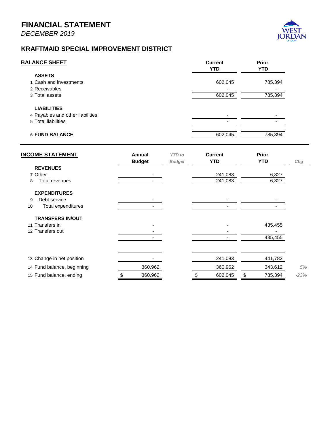

#### **KRAFTMAID SPECIAL IMPROVEMENT DISTRICT**

| <b>Current</b><br><b>YTD</b> | <b>Prior</b><br><b>YTD</b> |
|------------------------------|----------------------------|
|                              |                            |
| 602,045                      | 785,394                    |
|                              |                            |
| 602,045                      | 785,394                    |
|                              |                            |
|                              |                            |
|                              |                            |
|                              | 785,394                    |
|                              | 602,045                    |

| <b>INCOME STATEMENT</b>    | Annual<br><b>Budget</b> | <b>YTD</b> to<br><b>Budget</b> | <b>Current</b><br><b>YTD</b> | <b>Prior</b><br><b>YTD</b> | Chg    |
|----------------------------|-------------------------|--------------------------------|------------------------------|----------------------------|--------|
| <b>REVENUES</b>            |                         |                                |                              |                            |        |
| 7 Other                    |                         |                                | 241,083                      | 6,327                      |        |
| Total revenues<br>8        |                         |                                | 241,083                      | 6,327                      |        |
| <b>EXPENDITURES</b>        |                         |                                |                              |                            |        |
| Debt service<br>9          |                         |                                |                              |                            |        |
| Total expenditures<br>10   |                         |                                |                              |                            |        |
| <b>TRANSFERS IN/OUT</b>    |                         |                                |                              |                            |        |
| 11 Transfers in            |                         |                                |                              | 435,455                    |        |
| 12 Transfers out           |                         |                                |                              |                            |        |
|                            |                         |                                |                              | 435,455                    |        |
|                            |                         |                                |                              |                            |        |
| 13 Change in net position  |                         |                                | 241,083                      | 441,782                    |        |
| 14 Fund balance, beginning | 360,962                 |                                | 360,962                      | 343,612                    | 5%     |
| 15 Fund balance, ending    | 360,962                 |                                | 602,045                      | \$<br>785,394              | $-23%$ |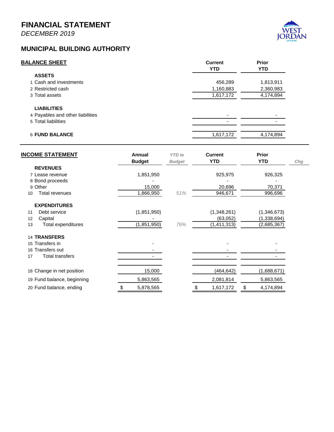*DECEMBER 2019*



#### **MUNICIPAL BUILDING AUTHORITY**

| <b>BALANCE SHEET</b>             | <b>Current</b><br><b>YTD</b> | <b>Prior</b><br><b>YTD</b> |
|----------------------------------|------------------------------|----------------------------|
| <b>ASSETS</b>                    |                              |                            |
| 1 Cash and investments           | 456,289                      | 1,813,911                  |
| 2 Restricted cash                | 1,160,883                    | 2,360,983                  |
| 3 Total assets                   | 1,617,172                    | 4,174,894                  |
| <b>LIABILITIES</b>               |                              |                            |
| 4 Payables and other liabilities | $\overline{\phantom{0}}$     |                            |
| 5 Total liabilities              |                              |                            |
| <b>6 FUND BALANCE</b>            | 1,617,172                    | 4,174,894                  |
|                                  |                              |                            |

| <b>INCOME STATEMENT</b>     | Annual<br><b>Budget</b> | <b>YTD</b> to<br><b>Budget</b> | <b>Current</b><br><b>YTD</b> | <b>Prior</b><br><b>YTD</b> | Chg |
|-----------------------------|-------------------------|--------------------------------|------------------------------|----------------------------|-----|
| <b>REVENUES</b>             |                         |                                |                              |                            |     |
| 7 Lease revenue             | 1,851,950               |                                | 925,975                      | 926,325                    |     |
| 8 Bond proceeds             |                         |                                |                              |                            |     |
| 9 Other                     | 15,000                  |                                | 20,696                       | 70,371                     |     |
| <b>Total revenues</b><br>10 | 1,866,950               | 51%                            | 946,671                      | 996,696                    |     |
| <b>EXPENDITURES</b>         |                         |                                |                              |                            |     |
| Debt service<br>11          | (1,851,950)             |                                | (1,348,261)                  | (1,346,673)                |     |
| 12<br>Capital               |                         |                                | (63,052)                     | (1,338,694)                |     |
| Total expenditures<br>13    | (1,851,950)             | 76%                            | (1, 411, 313)                | (2,685,367)                |     |
| <b>14 TRANSFERS</b>         |                         |                                |                              |                            |     |
| 15 Transfers in             |                         |                                |                              |                            |     |
| 16 Transfers out            |                         |                                |                              |                            |     |
| Total transfers<br>17       |                         |                                |                              |                            |     |
| 18 Change in net position   | 15,000                  |                                | (464,642)                    | (1,688,671)                |     |
| 19 Fund balance, beginning  | 5,863,565               |                                | 2,081,814                    | 5,863,565                  |     |
| 20 Fund balance, ending     | 5,878,565<br>\$         |                                | 1,617,172<br>S               | \$<br>4,174,894            |     |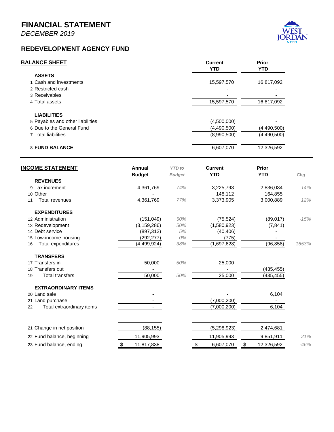*DECEMBER 2019*

# $\mathbf N$

#### **REDEVELOPMENT AGENCY FUND**

| <b>Current</b><br><b>YTD</b> | <b>Prior</b><br><b>YTD</b> |
|------------------------------|----------------------------|
|                              |                            |
| 15,597,570                   | 16,817,092                 |
|                              |                            |
|                              |                            |
| 15,597,570                   | 16,817,092                 |
|                              |                            |
| (4,500,000)                  |                            |
| (4,490,500)                  | (4,490,500)                |
| (8,990,500)                  | (4,490,500)                |
| 6,607,070                    | 12,326,592                 |
|                              |                            |

| <b>INCOME STATEMENT</b>         | Annual<br><b>Budget</b> | <b>YTD</b> to<br><b>Budget</b> | <b>Current</b><br><b>YTD</b> | <b>Prior</b><br><b>YTD</b> | Chg    |
|---------------------------------|-------------------------|--------------------------------|------------------------------|----------------------------|--------|
| <b>REVENUES</b>                 |                         |                                |                              |                            |        |
| 9 Tax increment                 | 4,361,769               | 74%                            | 3,225,793                    | 2,836,034                  | 14%    |
| 10 Other                        |                         |                                | 148,112                      | 164,855                    |        |
| <b>Total revenues</b><br>11     | 4,361,769               | 77%                            | 3,373,905                    | 3,000,889                  | 12%    |
| <b>EXPENDITURES</b>             |                         |                                |                              |                            |        |
| 12 Administration               | (151, 049)              | 50%                            | (75, 524)                    | (89, 017)                  | $-15%$ |
| 13 Redevelopment                | (3, 159, 286)           | 50%                            | (1,580,923)                  | (7, 841)                   |        |
| 14 Debt service                 | (897, 312)              | 5%                             | (40, 406)                    |                            |        |
| 15 Low-income housing           | (292,277)               | 0%                             | (775)                        |                            |        |
| Total expenditures<br>16        | (4,499,924)             | 38%                            | (1,697,628)                  | (96, 858)                  | 1653%  |
| <b>TRANSFERS</b>                |                         |                                |                              |                            |        |
| 17 Transfers in                 | 50,000                  | 50%                            | 25,000                       |                            |        |
| 18 Transfers out                |                         |                                |                              | (435,455)                  |        |
| <b>Total transfers</b><br>19    | 50,000                  | 50%                            | 25,000                       | (435, 455)                 |        |
| <b>EXTRAORDINARY ITEMS</b>      |                         |                                |                              |                            |        |
| 20 Land sale                    |                         |                                |                              | 6,104                      |        |
| 21 Land purchase                |                         |                                | (7,000,200)                  |                            |        |
| Total extraordinary items<br>22 |                         |                                | (7,000,200)                  | 6,104                      |        |
| 21 Change in net position       | (88, 155)               |                                | (5, 298, 923)                | 2,474,681                  |        |
|                                 |                         |                                |                              |                            |        |
| 22 Fund balance, beginning      | 11,905,993              |                                | 11,905,993                   | 9,851,911                  | 21%    |
| 23 Fund balance, ending         | 11,817,838<br>\$        |                                | 6,607,070<br>\$              | \$<br>12,326,592           | $-46%$ |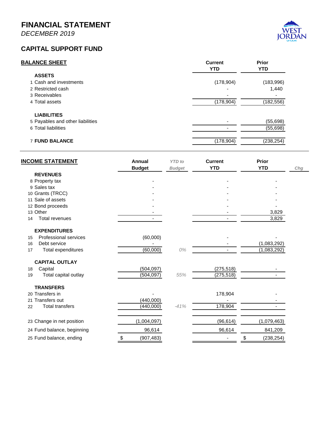*DECEMBER 2019*

#### **CAPITAL SUPPORT FUND**

| <b>BALANCE SHEET</b>             | <b>Current</b><br><b>YTD</b> | Prior<br><b>YTD</b> |
|----------------------------------|------------------------------|---------------------|
| <b>ASSETS</b>                    |                              |                     |
| 1 Cash and investments           | (178, 904)                   | (183, 996)          |
| 2 Restricted cash                |                              | 1.440               |
| 3 Receivables                    |                              |                     |
| 4 Total assets                   | (178,904)                    | (182, 556)          |
| <b>LIABILITIES</b>               |                              |                     |
| 5 Payables and other liabilities |                              | (55, 698)           |
| 6 Total liabilities              |                              | (55, 698)           |
| <b>7 FUND BALANCE</b>            | (178,904)                    | (238, 254)          |
|                                  |                              |                     |

| <b>INCOME STATEMENT</b>      | Annual<br><b>Budget</b> | <b>YTD</b> to<br><b>Budget</b> | <b>Current</b><br><b>YTD</b> | Prior<br><b>YTD</b>      | Chg |
|------------------------------|-------------------------|--------------------------------|------------------------------|--------------------------|-----|
| <b>REVENUES</b>              |                         |                                |                              |                          |     |
| 8 Property tax               |                         |                                |                              |                          |     |
| 9 Sales tax                  |                         |                                |                              |                          |     |
| 10 Grants (TRCC)             |                         |                                |                              |                          |     |
| 11 Sale of assets            |                         |                                |                              |                          |     |
| 12 Bond proceeds             |                         |                                |                              |                          |     |
| 13 Other                     |                         |                                |                              | 3,829                    |     |
| <b>Total revenues</b><br>14  |                         |                                |                              | 3,829                    |     |
| <b>EXPENDITURES</b>          |                         |                                |                              |                          |     |
| Professional services<br>15  | (60,000)                |                                |                              |                          |     |
| Debt service<br>16           |                         |                                |                              | (1,083,292)              |     |
| Total expenditures<br>17     | (60,000)                | 0%                             |                              | $\overline{(1,083,292)}$ |     |
| <b>CAPITAL OUTLAY</b>        |                         |                                |                              |                          |     |
| Capital<br>18                | (504, 097)              |                                | (275, 518)                   |                          |     |
| Total capital outlay<br>19   | (504, 097)              | 55%                            | (275, 518)                   |                          |     |
| <b>TRANSFERS</b>             |                         |                                |                              |                          |     |
| 20 Transfers in              |                         |                                | 178,904                      |                          |     |
| 21 Transfers out             | (440,000)               |                                |                              |                          |     |
| <b>Total transfers</b><br>22 | (440,000)               | $-41%$                         | 178,904                      |                          |     |
| 23 Change in net position    | (1,004,097)             |                                | (96, 614)                    | (1,079,463)              |     |
| 24 Fund balance, beginning   | 96,614                  |                                | 96,614                       | 841,209                  |     |
| 25 Fund balance, ending      | \$<br>(907, 483)        |                                |                              | \$<br>(238, 254)         |     |

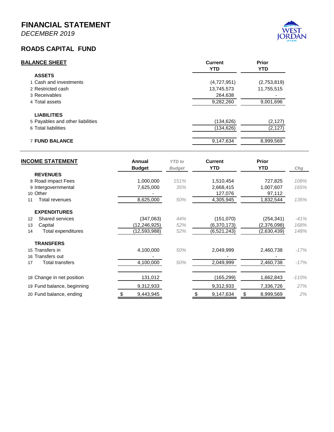*DECEMBER 2019*

#### **ROADS CAPITAL FUND**

| <b>BALANCE SHEET</b>             | <b>Current</b><br><b>YTD</b> | <b>Prior</b><br><b>YTD</b> |
|----------------------------------|------------------------------|----------------------------|
| <b>ASSETS</b>                    |                              |                            |
| 1 Cash and investments           | (4,727,951)                  | (2,753,819)                |
| 2 Restricted cash                | 13,745,573                   | 11,755,515                 |
| 3 Receivables                    | 264.638                      |                            |
| 4 Total assets                   | 9,282,260                    | 9,001,696                  |
| <b>LIABILITIES</b>               |                              |                            |
| 5 Payables and other liabilities | (134, 626)                   | (2, 127)                   |
| 6 Total liabilities              | (134, 626)                   | (2, 127)                   |
| <b>7 FUND BALANCE</b>            | 9,147,634                    | 8,999,569                  |

| <b>INCOME STATEMENT</b>      | Annual<br><b>Budget</b> | <b>YTD</b> to<br><b>Budget</b> | <b>Current</b><br><b>YTD</b> | <b>Prior</b><br><b>YTD</b> | Chg     |
|------------------------------|-------------------------|--------------------------------|------------------------------|----------------------------|---------|
| <b>REVENUES</b>              |                         |                                |                              |                            |         |
| 8 Road impact Fees           | 1,000,000               | 151%                           | 1,510,454                    | 727,825                    | 108%    |
| 9 Intergovernmental          | 7,625,000               | 35%                            | 2,668,415                    | 1,007,607                  | 165%    |
| 10 Other                     |                         |                                | 127,076                      | 97,112                     |         |
| Total revenues<br>11         | 8,625,000               | 50%                            | 4,305,945                    | 1,832,544                  | 135%    |
| <b>EXPENDITURES</b>          |                         |                                |                              |                            |         |
| <b>Shared services</b><br>12 | (347,063)               | 44%                            | (151,070)                    | (254, 341)                 | $-41%$  |
| 13<br>Capital                | (12, 246, 925)          | 52%                            | (6,370,173)                  | (2,376,098)                | 168%    |
| Total expenditures<br>14     | (12,593,988)            | 52%                            | (6, 521, 243)                | (2,630,439)                | 148%    |
| <b>TRANSFERS</b>             |                         |                                |                              |                            |         |
| 15 Transfers in              | 4,100,000               | 50%                            | 2,049,999                    | 2,460,738                  | $-17%$  |
| 16 Transfers out             |                         |                                |                              |                            |         |
| Total transfers<br>17        | 4,100,000               | 50%                            | 2,049,999                    | 2,460,738                  | $-17%$  |
| 18 Change in net position    | 131,012                 |                                | (165, 299)                   | 1,662,843                  | $-110%$ |
|                              | 9,312,933               |                                |                              |                            | 27%     |
| 19 Fund balance, beginning   |                         |                                | 9,312,933                    | 7,336,726                  |         |
| 20 Fund balance, ending      | 9,443,945<br>\$         |                                | 9,147,634<br>\$              | \$<br>8,999,569            | 2%      |

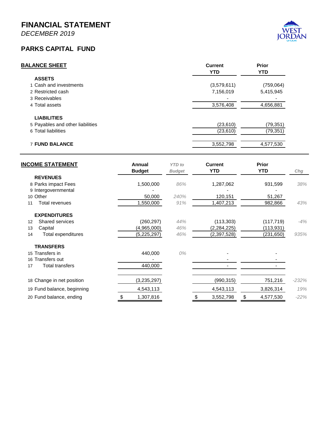*DECEMBER 2019*

#### **PARKS CAPITAL FUND**

| <b>Current</b> | <b>Prior</b><br><b>YTD</b> |
|----------------|----------------------------|
|                |                            |
| (3,579,611)    | (759,064)                  |
| 7,156,019      | 5,415,945                  |
|                |                            |
| 3,576,408      | 4,656,881                  |
|                |                            |
| (23, 610)      | (79, 351)                  |
| (23, 610)      | (79, 351)                  |
| 3,552,798      | 4,577,530                  |
|                | <b>YTD</b>                 |

| <b>INCOME STATEMENT</b>                     | Annual        | <b>YTD</b> to | <b>Current</b> | <b>Prior</b>    |         |
|---------------------------------------------|---------------|---------------|----------------|-----------------|---------|
|                                             | <b>Budget</b> | <b>Budget</b> | <b>YTD</b>     | <b>YTD</b>      | Chg     |
| <b>REVENUES</b>                             |               |               |                |                 |         |
| 8 Parks impact Fees                         | 1,500,000     | 86%           | 1,287,062      | 931,599         | 38%     |
| 9 Intergovernmental                         |               |               |                |                 |         |
| 10 Other                                    | 50,000        | 240%          | 120,151        | 51,267          |         |
| Total revenues<br>11                        | 1,550,000     | 91%           | 1,407,213      | 982,866         | 43%     |
| <b>EXPENDITURES</b>                         |               |               |                |                 |         |
| <b>Shared services</b><br>$12 \overline{ }$ | (260, 297)    | 44%           | (113, 303)     | (117, 719)      | $-4%$   |
| 13<br>Capital                               | (4,965,000)   | 46%           | (2, 284, 225)  | (113, 931)      |         |
| Total expenditures<br>14                    | (5, 225, 297) | 46%           | (2,397,528)    | (231,650)       | 935%    |
| <b>TRANSFERS</b>                            |               |               |                |                 |         |
| 15 Transfers in                             | 440,000       | 0%            |                |                 |         |
| 16 Transfers out                            |               |               |                |                 |         |
| <b>Total transfers</b><br>17                | 440,000       |               |                |                 |         |
| 18 Change in net position                   | (3,235,297)   |               | (990, 315)     | 751,216         | $-232%$ |
|                                             |               |               |                |                 | 19%     |
| 19 Fund balance, beginning                  | 4,543,113     |               | 4,543,113      | 3,826,314       |         |
| 20 Fund balance, ending                     | 1,307,816     |               | 3,552,798      | \$<br>4,577,530 | $-22%$  |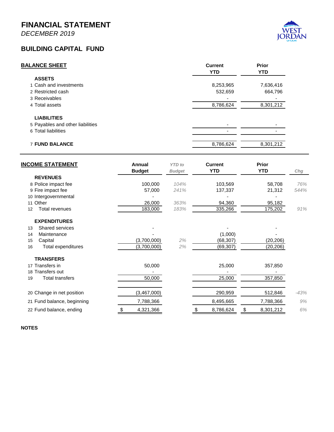*DECEMBER 2019*

#### **BUILDING CAPITAL FUND**

| <b>BALANCE SHEET</b>             | <b>Current</b><br><b>YTD</b> | <b>Prior</b><br><b>YTD</b> |
|----------------------------------|------------------------------|----------------------------|
| <b>ASSETS</b>                    |                              |                            |
| 1 Cash and investments           | 8,253,965                    | 7,636,416                  |
| 2 Restricted cash                | 532,659                      | 664,796                    |
| 3 Receivables                    |                              |                            |
| 4 Total assets                   | 8,786,624                    | 8,301,212                  |
| <b>LIABILITIES</b>               |                              |                            |
| 5 Payables and other liabilities |                              |                            |
| 6 Total liabilities              |                              |                            |
| <b>7 FUND BALANCE</b>            | 8,786,624                    | 8,301,212                  |

| <b>INCOME STATEMENT</b>         | Annual        | <b>YTD</b> to | <b>Current</b> | <b>Prior</b> |        |
|---------------------------------|---------------|---------------|----------------|--------------|--------|
| <b>REVENUES</b>                 | <b>Budget</b> | <b>Budget</b> | <b>YTD</b>     | <b>YTD</b>   | Chg    |
|                                 |               |               |                |              |        |
| 8 Police impact fee             | 100,000       | 104%          | 103,569        | 58,708       | 76%    |
| 9 Fire impact fee               | 57,000        | 241%          | 137,337        | 21,312       | 544%   |
| 10 Intergovernmental            |               |               |                |              |        |
| 11 Other                        | 26,000        | 363%          | 94,360         | 95,182       |        |
| Total revenues<br>12            | 183,000       | 183%          | 335,266        | 175,202      | 91%    |
| <b>EXPENDITURES</b>             |               |               |                |              |        |
| Shared services<br>13           |               |               |                |              |        |
| Maintenance<br>14               |               |               | (1,000)        |              |        |
| Capital<br>15                   | (3,700,000)   | 2%            | (68, 307)      | (20, 206)    |        |
| <b>Total expenditures</b><br>16 | (3,700,000)   | 2%            | (69, 307)      | (20, 206)    |        |
| <b>TRANSFERS</b>                |               |               |                |              |        |
| 17 Transfers in                 | 50,000        |               | 25,000         | 357,850      |        |
| 18 Transfers out                |               |               |                |              |        |
| <b>Total transfers</b><br>19    | 50,000        |               | 25,000         | 357,850      |        |
| 20 Change in net position       | (3,467,000)   |               | 290,959        | 512,846      | $-43%$ |
|                                 |               |               |                |              |        |
| 21 Fund balance, beginning      | 7,788,366     |               | 8,495,665      | 7,788,366    | 9%     |
| 22 Fund balance, ending         | 4,321,366     |               | 8,786,624      | 8,301,212    | 6%     |

**NOTES**

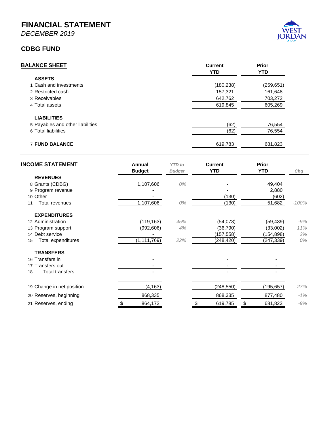*DECEMBER 2019*

#### **CDBG FUND**

| <b>Current</b><br><b>YTD</b> | Prior<br><b>YTD</b> |
|------------------------------|---------------------|
|                              |                     |
| (180,238)                    | (259, 651)          |
| 157,321                      | 161,648             |
| 642,762                      | 703,272             |
| 619,845                      | 605,269             |
|                              |                     |
| (62)                         | 76,554              |
| (62)                         | 76,554              |
| 619,783                      | 681,823             |
|                              |                     |

| <b>INCOME STATEMENT</b>   | Annual        | <b>YTD</b> to | <b>Current</b> | <b>Prior</b>  |         |
|---------------------------|---------------|---------------|----------------|---------------|---------|
|                           | <b>Budget</b> | <b>Budget</b> | <b>YTD</b>     | <b>YTD</b>    | Chg     |
| <b>REVENUES</b>           |               |               |                |               |         |
| 8 Grants (CDBG)           | 1,107,606     | 0%            |                | 49,404        |         |
| 9 Program revenue         |               |               |                | 2,880         |         |
| 10 Other                  |               |               | (130)          | (602)         |         |
| Total revenues<br>11      | 1,107,606     | 0%            | (130)          | 51,682        | $-100%$ |
| <b>EXPENDITURES</b>       |               |               |                |               |         |
| 12 Administration         | (119, 163)    | 45%           | (54, 073)      | (59, 439)     | -9%     |
| 13 Program support        | (992, 606)    | 4%            | (36, 790)      | (33,002)      | 11%     |
| 14 Debt service           |               |               | (157, 558)     | (154, 898)    | 2%      |
| Total expenditures<br>15  | (1, 111, 769) | 22%           | (248, 420)     | (247, 339)    | 0%      |
| <b>TRANSFERS</b>          |               |               |                |               |         |
| 16 Transfers in           |               |               |                |               |         |
| 17 Transfers out          |               |               |                |               |         |
| Total transfers<br>18     |               |               |                |               |         |
| 19 Change in net position | (4,163)       |               | (248, 550)     | (195, 657)    | 27%     |
|                           |               |               |                |               |         |
| 20 Reserves, beginning    | 868,335       |               | 868,335        | 877,480       | $-1%$   |
| 21 Reserves, ending       | \$<br>864,172 |               | \$<br>619,785  | \$<br>681,823 | $-9%$   |

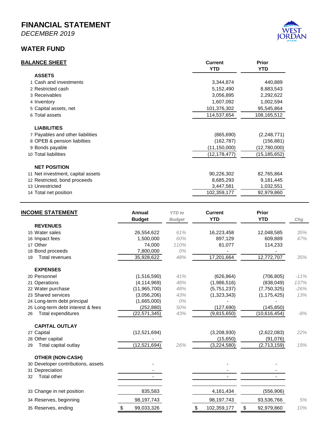*DECEMBER 2019*

#### **WATER FUND**

| <b>BALANCE SHEET</b>              | <b>Current</b><br><b>YTD</b> | <b>Prior</b><br><b>YTD</b> |
|-----------------------------------|------------------------------|----------------------------|
| <b>ASSETS</b>                     |                              |                            |
| 1 Cash and investments            | 3,344,874                    | 440,889                    |
| 2 Restricted cash                 | 5,152,490                    | 8,883,543                  |
| 3 Receivables                     | 3,056,895                    | 2,292,622                  |
| 4 Inventory                       | 1,607,092                    | 1,002,594                  |
| 5 Capital assets, net             | 101,376,302                  | 95,545,864                 |
| 6 Total assets                    | 114,537,654                  | 108,165,512                |
| <b>LIABILITIES</b>                |                              |                            |
| 7 Payables and other liabilities  | (865, 690)                   | (2,248,771)                |
| 8 OPEB & pension liabilties       | (162, 787)                   | (156, 881)                 |
| 9 Bonds payable                   | (11, 150, 000)               | (12,780,000)               |
| 10 Total liabilities              | (12, 178, 477)               | (15, 185, 652)             |
| <b>NET POSITION</b>               |                              |                            |
| 11 Net investment, capital assets | 90,226,302                   | 82,765,864                 |
| 12 Restricted, bond proceeds      | 8,685,293                    | 9,181,445                  |
| 13 Unrestricted                   | 3,447,581                    | 1,032,551                  |
| 14 Total net position             | 102,359,177                  | 92,979,860                 |

| <b>INCOME STATEMENT</b>            | Annual           | <b>YTD</b> to | <b>Current</b>    | <b>Prior</b>     |        |
|------------------------------------|------------------|---------------|-------------------|------------------|--------|
| <b>REVENUES</b>                    | <b>Budget</b>    | <b>Budget</b> | <b>YTD</b>        | <b>YTD</b>       | Chg    |
|                                    |                  |               |                   |                  |        |
| 15 Water sales                     | 26,554,622       | 61%           | 16,223,458        | 12,048,585       | 35%    |
| 16 Impact fees<br>17 Other         | 1,500,000        | 60%           | 897,129           | 609,889          | 47%    |
|                                    | 74,000           | 110%<br>0%    | 81,077            | 114,233          |        |
| 18 Bond proceeds                   | 7,800,000        |               |                   |                  |        |
| Total revenues<br>19               | 35,928,622       | 48%           | 17,201,664        | 12,772,707       | 35%    |
| <b>EXPENSES</b>                    |                  |               |                   |                  |        |
| 20 Personnel                       | (1,516,590)      | 41%           | (626, 864)        | (706, 805)       | $-11%$ |
| 21 Operations                      | (4, 114, 969)    | 48%           | (1,986,516)       | (838,049)        | 137%   |
| 22 Water purchase                  | (11,965,700)     | 48%           | (5,751,237)       | (7,750,325)      | $-26%$ |
| 23 Shared services                 | (3,056,206)      | 43%           | (1,323,343)       | (1, 175, 425)    | 13%    |
| 24 Long-term debt principal        | (1,665,000)      | 0%            |                   |                  |        |
| 25 Long-term debt interest & fees  | (252, 880)       | 50%           | (127, 690)        | (145, 850)       |        |
| <b>Total expenditures</b><br>26    | (22, 571, 345)   | 43%           | (9,815,650)       | (10, 616, 454)   | $-8%$  |
| <b>CAPITAL OUTLAY</b>              |                  |               |                   |                  |        |
| 27 Capital                         | (12,521,694)     |               | (3,208,930)       | (2,622,083)      | 22%    |
| 28 Other capital                   |                  |               | (15,650)          | (91,076)         |        |
| Total capital outlay<br>29         | (12, 521, 694)   | 26%           | (3,224,580)       | (2,713,159)      | 19%    |
| <b>OTHER (NON-CASH)</b>            |                  |               |                   |                  |        |
| 30 Developer contributions, assets |                  |               |                   |                  |        |
| 31 Depreciation                    |                  |               |                   |                  |        |
| Total other<br>32                  |                  |               |                   |                  |        |
| 33 Change in net position          | 835,583          |               | 4,161,434         | (556, 906)       |        |
| 34 Reserves, beginning             | 98,197,743       |               | 98,197,743        | 93,536,766       | 5%     |
| 35 Reserves, ending                | \$<br>99,033,326 |               | \$<br>102,359,177 | \$<br>92,979,860 | 10%    |

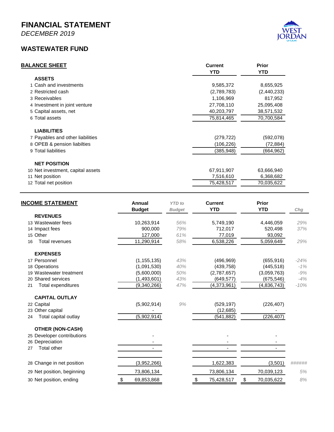*DECEMBER 2019*

#### **WASTEWATER FUND**

| <b>BALANCE SHEET</b>             | <b>Current</b><br><b>YTD</b> | <b>Prior</b><br><b>YTD</b> |
|----------------------------------|------------------------------|----------------------------|
| <b>ASSETS</b>                    |                              |                            |
| 1 Cash and investments           | 9,585,372                    | 8,655,925                  |
| 2 Restricted cash                | (2,789,783)                  | (2,440,233)                |
| 3 Receivables                    | 1,106,969                    | 817,952                    |
| 4 Investment in joint venture    | 27,708,110                   | 25,095,408                 |
| 5 Capital assets, net            | 40,203,797                   | 38,571,532                 |
| 6 Total assets                   | 75,814,465                   | 70,700,584                 |
| <b>LIABILITIES</b>               |                              |                            |
| 7 Payables and other liabilities | (279, 722)                   | (592,078)                  |
| 8 OPEB & pension liabilties      | (106,226)                    | (72,884)                   |
| 9 Total liabilities              | (385, 948)                   | (664,962)                  |

| 10 Net investment, capital assets | 67.911.907 | 63.666.940 |
|-----------------------------------|------------|------------|
| 11 Net position                   | 7.516.610  | 6.368.682  |
| 12 Total net position             | 75.428.517 | 70.035.622 |

| <b>INCOME STATEMENT</b>         | Annual           | <b>YTD</b> to | <b>Current</b>   | <b>Prior</b>     |        |
|---------------------------------|------------------|---------------|------------------|------------------|--------|
|                                 | <b>Budget</b>    | <b>Budget</b> | <b>YTD</b>       | <b>YTD</b>       | Chg    |
| <b>REVENUES</b>                 |                  |               |                  |                  |        |
| 13 Wastewater fees              | 10,263,914       | 56%           | 5,749,190        | 4,446,059        | 29%    |
| 14 Impact fees                  | 900.000          | 79%           | 712,017          | 520,498          | 37%    |
| 15 Other                        | 127,000          | 61%           | 77,019           | 93,092           |        |
| <b>Total revenues</b><br>16     | 11,290,914       | 58%           | 6,538,226        | 5,059,649        | 29%    |
| <b>EXPENSES</b>                 |                  |               |                  |                  |        |
| 17 Personnel                    | (1, 155, 135)    | 43%           | (496, 969)       | (655, 916)       | $-24%$ |
| 18 Operations                   | (1,091,530)      | 40%           | (439, 758)       | (445, 518)       | $-1%$  |
| 19 Wastewater treatment         | (5,600,000)      | 50%           | (2,787,657)      | (3,059,763)      | $-9%$  |
| 20 Shared services              | (1,493,601)      | 43%           | (649, 577)       | (675, 546)       | $-4%$  |
| <b>Total expenditures</b><br>21 | (9,340,266)      | 47%           | (4,373,961)      | (4,836,743)      | $-10%$ |
| <b>CAPITAL OUTLAY</b>           |                  |               |                  |                  |        |
| 22 Capital                      | (5,902,914)      | 9%            | (529, 197)       | (226, 407)       |        |
| 23 Other capital                |                  |               | (12,685)         |                  |        |
| Total capital outlay<br>24      | (5,902,914)      |               | (541, 882)       | (226, 407)       |        |
| <b>OTHER (NON-CASH)</b>         |                  |               |                  |                  |        |
| 25 Developer contributions      |                  |               |                  |                  |        |
| 26 Depreciation                 |                  |               |                  |                  |        |
| <b>Total other</b><br>27        |                  |               |                  |                  |        |
| 28 Change in net position       | (3,952,266)      |               | 1,622,383        | (3,501)          | ###### |
|                                 |                  |               |                  |                  |        |
| 29 Net position, beginning      | 73,806,134       |               | 73,806,134       | 70,039,123       | 5%     |
| 30 Net position, ending         | \$<br>69,853,868 |               | 75,428,517<br>\$ | \$<br>70,035,622 | 8%     |

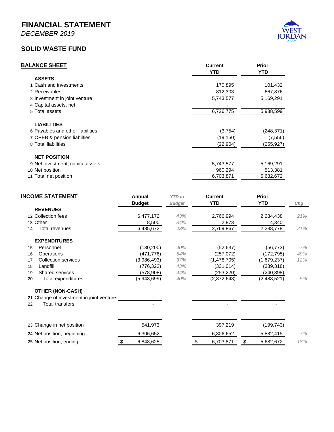*DECEMBER 2019*

#### **SOLID WASTE FUND**



| <b>BALANCE SHEET</b>             | <b>Current</b><br><b>YTD</b> | <b>Prior</b><br><b>YTD</b> |
|----------------------------------|------------------------------|----------------------------|
| <b>ASSETS</b>                    |                              |                            |
| 1 Cash and investments           | 170,895                      | 101,432                    |
| 2 Receivables                    | 812,303                      | 667,876                    |
| 3 Investment in joint venture    | 5,743,577                    | 5,169,291                  |
| 4 Capital assets, net            |                              |                            |
| 5 Total assets                   | 6,726,775                    | 5,938,599                  |
| <b>LIABILITIES</b>               |                              |                            |
| 6 Payables and other liabilities | (3,754)                      | (248, 371)                 |
| 7 OPEB & pension liabilties      | (19, 150)                    | (7, 556)                   |
| 8 Total liabilities              | (22, 904)                    | (255, 927)                 |
| <b>NET POSITION</b>              |                              |                            |
| 9 Net investment, capital assets | 5,743,577                    | 5,169,291                  |
| 10 Net position                  | 960,294                      | 513,381                    |
| 11 Total net position            | 6,703,871                    | 5,682,672                  |

| <b>INCOME STATEMENT</b>                  | Annual<br><b>Budget</b> | <b>YTD</b> to<br><b>Budget</b> | <b>Current</b><br><b>YTD</b> | <b>Prior</b><br><b>YTD</b> | Chg    |
|------------------------------------------|-------------------------|--------------------------------|------------------------------|----------------------------|--------|
| <b>REVENUES</b>                          |                         |                                |                              |                            |        |
| 12 Collection fees                       | 6,477,172               | 43%                            | 2,766,994                    | 2,284,438                  | 21%    |
| 13 Other                                 | 8,500                   | 34%                            | 2,873                        | 4,340                      |        |
| Total revenues<br>14                     | 6,485,672               | 43%                            | 2,769,867                    | 2,288,778                  | 21%    |
| <b>EXPENDITURES</b>                      |                         |                                |                              |                            |        |
| Personnel<br>15                          | (130, 200)              | 40%                            | (52, 637)                    | (56, 773)                  | -7%    |
| Operations<br>16                         | (471, 776)              | 54%                            | (257,072)                    | (172, 795)                 | 49%    |
| <b>Collection services</b><br>17         | (3,986,493)             | 37%                            | (1,478,705)                  | (1,679,237)                | $-12%$ |
| Landfill<br>18                           | (776, 322)              | 43%                            | (331, 014)                   | (339, 318)                 |        |
| Shared services<br>19                    | (578, 908)              | 44%                            | (253, 220)                   | (240, 398)                 |        |
| Total expenditures<br>20                 | (5,943,699)             | 40%                            | (2,372,648)                  | (2,488,521)                | $-5%$  |
| <b>OTHER (NON-CASH)</b>                  |                         |                                |                              |                            |        |
| 21 Change of investment in joint venture |                         |                                |                              |                            |        |
| <b>Total transfers</b><br>22             |                         |                                |                              |                            |        |
| 23 Change in net position                | 541,973                 |                                | 397,219                      | (199, 743)                 |        |
|                                          |                         |                                |                              |                            |        |
| 24 Net position, beginning               | 6,306,652               |                                | 6,306,652                    | 5,882,415                  | 7%     |
| 25 Net position, ending                  | \$<br>6,848,625         |                                | \$<br>6,703,871              | \$<br>5,682,672            | 18%    |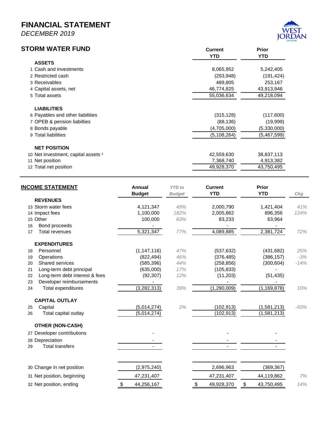*DECEMBER 2019*



| STORM WATER FUND                    | <b>Current</b><br><b>YTD</b> | <b>Prior</b><br><b>YTD</b> |
|-------------------------------------|------------------------------|----------------------------|
| <b>ASSETS</b>                       |                              |                            |
| 1 Cash and investments              | 8,065,952                    | 5,242,405                  |
| 2 Restricted cash                   | (293, 948)                   | (191, 424)                 |
| 3 Receivables                       | 489,805                      | 253,167                    |
| 4 Capital assets, net               | 46,774,825                   | 43,913,946                 |
| 5 Total assets                      | 55,036,634                   | 49,218,094                 |
| <b>LIABILITIES</b>                  |                              |                            |
| 6 Payables and other liabilities    | (315, 128)                   | (117,600)                  |
| 7 OPEB & pension liabilties         | (88, 136)                    | (19,999)                   |
| 8 Bonds payable                     | (4,705,000)                  | (5,330,000)                |
| 9 Total liabilities                 | (5, 108, 264)                | (5,467,599)                |
| <b>NET POSITION</b>                 |                              |                            |
| 10 Net investment, capital assets 1 | 42,559,630                   | 38,837,113                 |
| 11 Net position                     | 7,368,740                    | 4,913,382                  |
| 12 Total net position               | 49,928,370                   | 43,750,495                 |

| <b>INCOME STATEMENT</b>              | Annual<br><b>Budget</b> | <b>YTD</b> to<br><b>Budget</b> | <b>Current</b><br><b>YTD</b> | <b>Prior</b><br><b>YTD</b> | Chg    |
|--------------------------------------|-------------------------|--------------------------------|------------------------------|----------------------------|--------|
| <b>REVENUES</b>                      |                         |                                |                              |                            |        |
| 13 Storm water fees                  | 4,121,347               | 49%                            | 2,000,790                    | 1,421,404                  | 41%    |
| 14 Impact fees                       | 1,100,000               | 182%                           | 2,005,862                    | 896,356                    | 124%   |
| 15 Other                             | 100,000                 | 83%                            | 83,233                       | 63,964                     |        |
| Bond proceeds<br>16                  |                         |                                |                              |                            |        |
| Total revenues<br>17                 | 5,321,347               | 77%                            | 4,089,885                    | 2,381,724                  | 72%    |
| <b>EXPENDITURES</b>                  |                         |                                |                              |                            |        |
| Personnel<br>18                      | (1, 147, 116)           | 47%                            | (537, 632)                   | (431, 682)                 | 25%    |
| Operations<br>19                     | (822, 494)              | 46%                            | (376, 485)                   | (386, 157)                 | $-3%$  |
| <b>Shared services</b><br>20         | (585, 396)              | 44%                            | (258, 856)                   | (300, 604)                 | $-14%$ |
| Long-term debt principal<br>21       | (635,000)               | 17%                            | (105, 833)                   |                            |        |
| Long-term debt interest & fees<br>22 | (92, 307)               | 12%                            | (11, 203)                    | (51, 435)                  |        |
| Developer reimbursements<br>23       |                         |                                |                              |                            |        |
| <b>Total expenditures</b><br>24      | (3, 282, 313)           | 39%                            | (1, 290, 009)                | (1, 169, 878)              | 10%    |
| <b>CAPITAL OUTLAY</b>                |                         |                                |                              |                            |        |
| Capital<br>25                        | (5,014,274)             | 2%                             | (102, 913)                   | (1,581,213)                | $-93%$ |
| Total capital outlay<br>26           | (5,014,274)             |                                | (102, 913)                   | (1,581,213)                |        |
| <b>OTHER (NON-CASH)</b>              |                         |                                |                              |                            |        |
| 27 Developer contributions           |                         |                                |                              |                            |        |
| 28 Depreciation                      |                         |                                |                              |                            |        |
| <b>Total transfers</b><br>29         |                         |                                |                              |                            |        |
|                                      |                         |                                |                              |                            |        |
| 30 Change in net position            | (2,975,240)             |                                | 2,696,963                    | (369, 367)                 |        |
| 31 Net position, beginning           | 47,231,407              |                                | 47,231,407                   | 44,119,862                 | 7%     |
| 32 Net position, ending              | 44,256,167<br>\$        |                                | 49,928,370<br>S              | \$<br>43,750,495           | 14%    |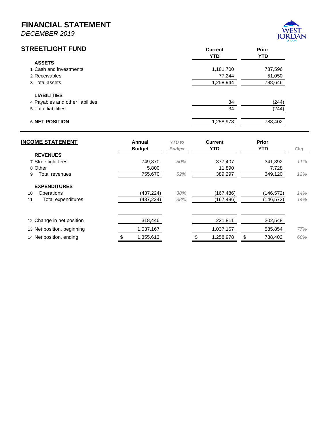*DECEMBER 2019*



| <b>STREETLIGHT FUND</b>          | <b>Current</b><br><b>YTD</b> | <b>Prior</b><br><b>YTD</b> |
|----------------------------------|------------------------------|----------------------------|
| <b>ASSETS</b>                    |                              |                            |
| 1 Cash and investments           | 1,181,700                    | 737,596                    |
| 2 Receivables                    | 77,244                       | 51,050                     |
| 3 Total assets                   | 1,258,944                    | 788,646                    |
| <b>LIABILITIES</b>               |                              |                            |
| 4 Payables and other liabilities | 34                           | (244)                      |
| 5 Total liabilities              | 34                           | (244)                      |
| 6 NET POSITION                   | 1,258,978                    | 788,402                    |

| <b>INCOME STATEMENT</b>    | Annual<br><b>Budget</b> | <b>YTD</b> to<br><b>Budget</b> | Current<br><b>YTD</b> | <b>Prior</b><br><b>YTD</b> | Chg |
|----------------------------|-------------------------|--------------------------------|-----------------------|----------------------------|-----|
| <b>REVENUES</b>            |                         |                                |                       |                            |     |
| 7 Streetlight fees         | 749.870                 | 50%                            | 377,407               | 341,392                    | 11% |
| 8 Other                    | 5,800                   |                                | 11,890                | 7,728                      |     |
| Total revenues<br>9        | 755.670                 | 52%                            | 389.297               | 349,120                    | 12% |
| <b>EXPENDITURES</b>        |                         |                                |                       |                            |     |
| Operations<br>10           | (437, 224)              | 38%                            | (167, 486)            | (146, 572)                 | 14% |
| Total expenditures<br>11   | (437, 224)              | 38%                            | (167, 486)            | (146, 572)                 | 14% |
|                            |                         |                                |                       |                            |     |
| 12 Change in net position  | 318,446                 |                                | 221,811               | 202,548                    |     |
| 13 Net position, beginning | 1,037,167               |                                | 1,037,167             | 585,854                    | 77% |
| 14 Net position, ending    | 1,355,613               |                                | 1,258,978             | \$<br>788,402              | 60% |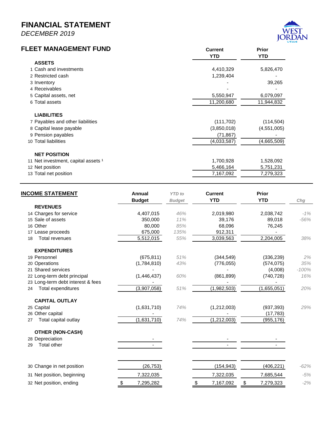*DECEMBER 2019*

# **FLEET MANAGEMENT FUND Current Prior**



| LEEI MANAGEMENI FUND                | <b>Current</b><br><b>YTD</b> | <b>Prior</b><br><b>YTD</b> |
|-------------------------------------|------------------------------|----------------------------|
| <b>ASSETS</b>                       |                              |                            |
| 1 Cash and investments              | 4,410,329                    | 5,826,470                  |
| 2 Restricted cash                   | 1,239,404                    |                            |
| 3 Inventory                         |                              | 39,265                     |
| 4 Receivables                       |                              |                            |
| 5 Capital assets, net               | 5,550,947                    | 6,079,097                  |
| 6 Total assets                      | 11,200,680                   | 11,944,832                 |
| <b>LIABILITIES</b>                  |                              |                            |
| 7 Payables and other liabilities    | (111, 702)                   | (114, 504)                 |
| 8 Capital lease payable             | (3,850,018)                  | (4,551,005)                |
| 9 Pension payables                  | (71, 867)                    |                            |
| 10 Total liabilities                | (4,033,587)                  | (4,665,509)                |
| <b>NET POSITION</b>                 |                              |                            |
| 11 Net investment, capital assets 1 | 1,700,928                    | 1,528,092                  |
| 12 Net position                     | 5,466,164                    | 5,751,231                  |
| 13 Total net position               | 7,167,092                    | 7,279,323                  |
|                                     |                              |                            |

| <b>INCOME STATEMENT</b>           | Annual<br><b>Budget</b> | <b>YTD</b> to | <b>Current</b><br><b>YTD</b> | <b>Prior</b><br><b>YTD</b> |         |
|-----------------------------------|-------------------------|---------------|------------------------------|----------------------------|---------|
| <b>REVENUES</b>                   |                         | <b>Budget</b> |                              |                            | Chg     |
| 14 Charges for service            | 4,407,015               | 46%           | 2,019,980                    | 2,038,742                  | $-1%$   |
| 15 Sale of assets                 | 350,000                 | 11%           | 39,176                       | 89,018                     | $-56%$  |
| 16 Other                          | 80,000                  | 85%           | 68,096                       | 76,245                     |         |
| 17 Lease proceeds                 | 675,000                 | 135%          | 912,311                      |                            |         |
| <b>Total revenues</b><br>18       | $\overline{5,512,015}$  | 55%           | 3,039,563                    | 2,204,005                  | 38%     |
| <b>EXPENDITURES</b>               |                         |               |                              |                            |         |
| 19 Personnel                      | (675, 811)              | 51%           | (344, 549)                   | (336, 239)                 | 2%      |
| 20 Operations                     | (1,784,810)             | 43%           | (776, 055)                   | (574, 075)                 | 35%     |
| 21 Shared services                |                         |               |                              | (4,008)                    | $-100%$ |
| 22 Long-term debt principal       | (1,446,437)             | 60%           | (861, 899)                   | (740, 728)                 | 16%     |
| 23 Long-term debt interest & fees |                         |               |                              |                            |         |
| Total expenditures<br>24          | (3,907,058)             | 51%           | (1,982,503)                  | (1,655,051)                | 20%     |
| <b>CAPITAL OUTLAY</b>             |                         |               |                              |                            |         |
| 25 Capital                        | (1,631,710)             | 74%           | (1,212,003)                  | (937, 393)                 | 29%     |
| 26 Other capital                  |                         |               |                              | (17, 783)                  |         |
| Total capital outlay<br>27        | (1,631,710)             | 74%           | (1,212,003)                  | (955, 176)                 |         |
| <b>OTHER (NON-CASH)</b>           |                         |               |                              |                            |         |
| 28 Depreciation                   |                         |               |                              |                            |         |
| <b>Total other</b><br>29          |                         |               |                              |                            |         |
|                                   |                         |               |                              |                            |         |
| 30 Change in net position         | (26, 753)               |               | (154, 943)                   | (406, 221)                 | $-62%$  |
| 31 Net position, beginning        | 7,322,035               |               | 7,322,035                    | 7,685,544                  | $-5%$   |
| 32 Net position, ending           | 7,295,282               |               | 7,167,092                    | 7,279,323<br>\$            | $-2%$   |
|                                   |                         |               |                              |                            |         |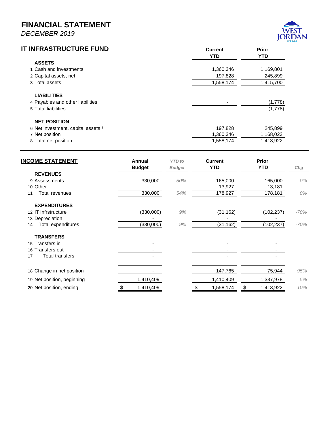*DECEMBER 2019*

# **IT INFRASTRUCTURE FUND**



| <b>INFRASTRUCTURE FUND</b>         | <b>Current</b><br><b>YTD</b> | <b>Prior</b><br><b>YTD</b> |
|------------------------------------|------------------------------|----------------------------|
| <b>ASSETS</b>                      |                              |                            |
| 1 Cash and investments             | 1,360,346                    | 1,169,801                  |
| 2 Capital assets, net              | 197,828                      | 245,899                    |
| 3 Total assets                     | 1,558,174                    | 1,415,700                  |
| <b>LIABILITIES</b>                 |                              |                            |
| 4 Payables and other liabilities   |                              | (1,778)                    |
| 5 Total liabilities                |                              | (1,778)                    |
| <b>NET POSITION</b>                |                              |                            |
| 6 Net investment, capital assets 1 | 197,828                      | 245,899                    |
| 7 Net position                     | 1,360,346                    | 1,168,023                  |
| 8 Total net position               | 1,558,174                    | 1,413,922                  |

| <b>INCOME STATEMENT</b>    | Annual<br><b>Budget</b> | <b>YTD</b> to<br><b>Budget</b> | <b>Current</b><br><b>YTD</b> | <b>Prior</b><br><b>YTD</b> | Chg    |
|----------------------------|-------------------------|--------------------------------|------------------------------|----------------------------|--------|
| <b>REVENUES</b>            |                         |                                |                              |                            |        |
| 9 Assessments              | 330,000                 | 50%                            | 165,000                      | 165,000                    | 0%     |
| 10 Other                   |                         |                                | 13,927                       | 13,181                     |        |
| Total revenues<br>11       | 330,000                 | 54%                            | 178,927                      | 178,181                    | 0%     |
| <b>EXPENDITURES</b>        |                         |                                |                              |                            |        |
| 12 IT Infrstructure        | (330,000)               | 9%                             | (31, 162)                    | (102, 237)                 | -70%   |
| 13 Depreciation            |                         |                                |                              |                            |        |
| Total expenditures<br>14   | (330,000)               | 9%                             | (31, 162)                    | (102, 237)                 | $-70%$ |
| <b>TRANSFERS</b>           |                         |                                |                              |                            |        |
| 15 Transfers in            |                         |                                |                              |                            |        |
| 16 Transfers out           |                         |                                |                              |                            |        |
| Total transfers<br>17      |                         |                                |                              |                            |        |
| 18 Change in net position  |                         |                                | 147,765                      | 75,944                     | 95%    |
| 19 Net position, beginning | 1,410,409               |                                | 1,410,409                    | 1,337,978                  | 5%     |
| 20 Net position, ending    | 1,410,409               |                                | 1,558,174                    | \$<br>1,413,922            | 10%    |
|                            |                         |                                |                              |                            |        |